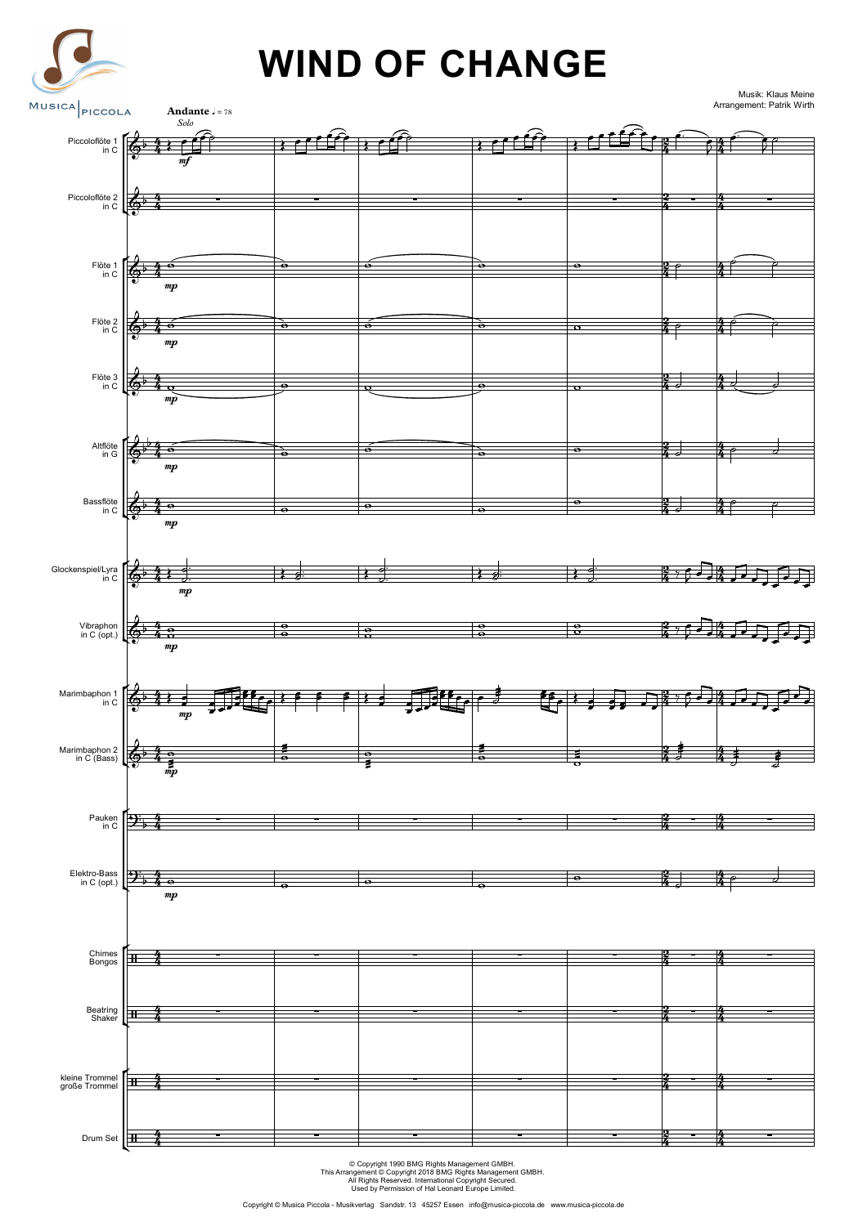

## **WIND OF CHANGE**



© Copyright 1990 BMG Rights Management GMBH.<br>This Arrangement © Copyright 2018 BMG Rights Management GMBH.<br>All Rights Reserved. International Copyright Secured.<br>Used by Permission of Hal Leonard Europe Limited.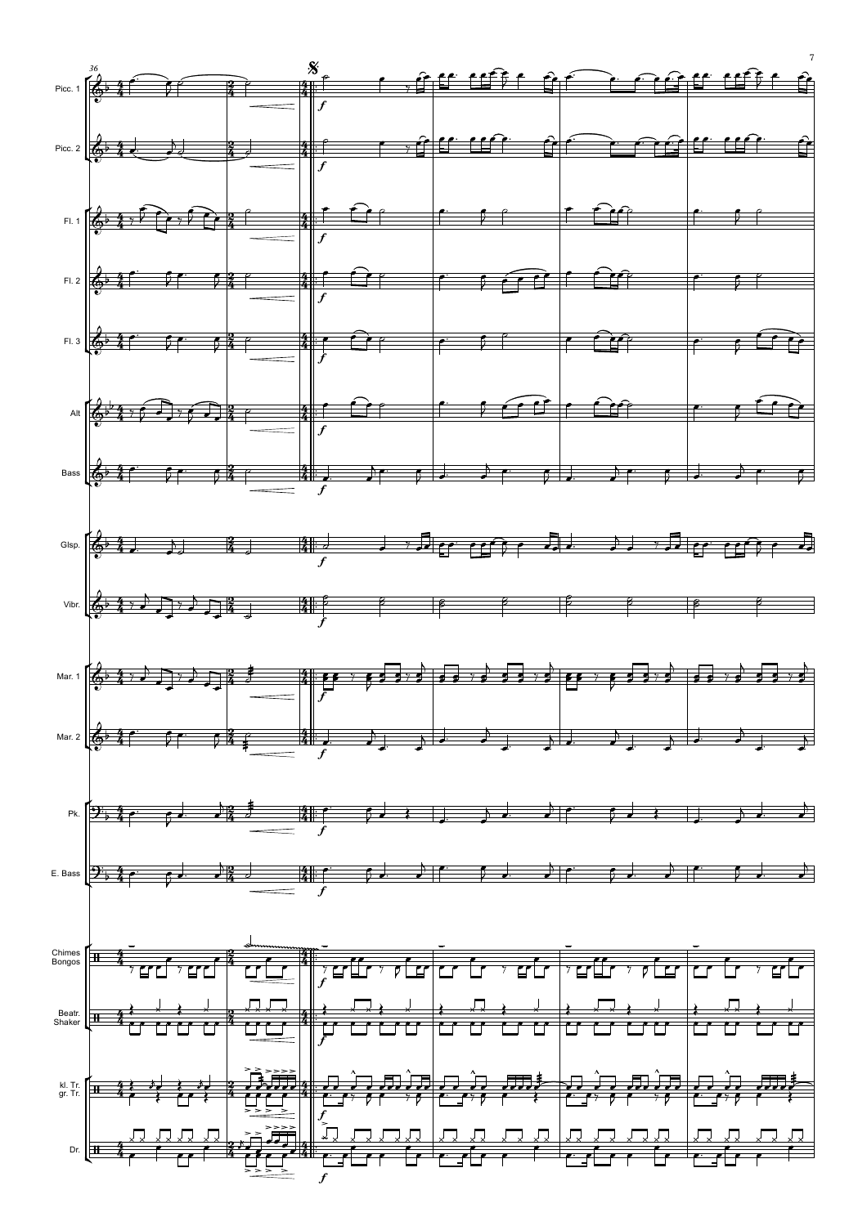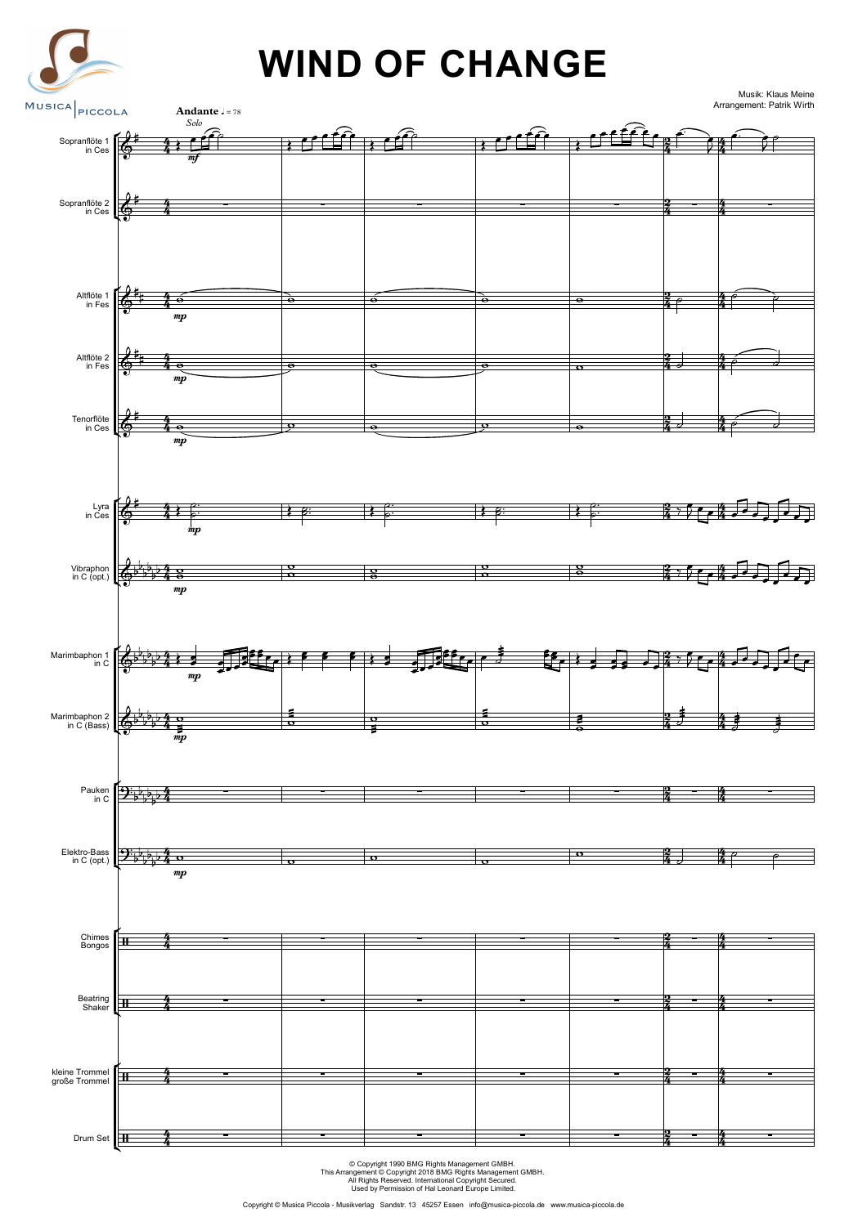

## **WIND OF CHANGE**





© Copyright 1990 BMG Rights Management GMBH.<br>This Arrangement © Copyright 2018 BMG Rights Management GMBH.<br>All Rights Reserved. International Copyright Secured.<br>Used by Permission of Hal Leonard Europe Limited.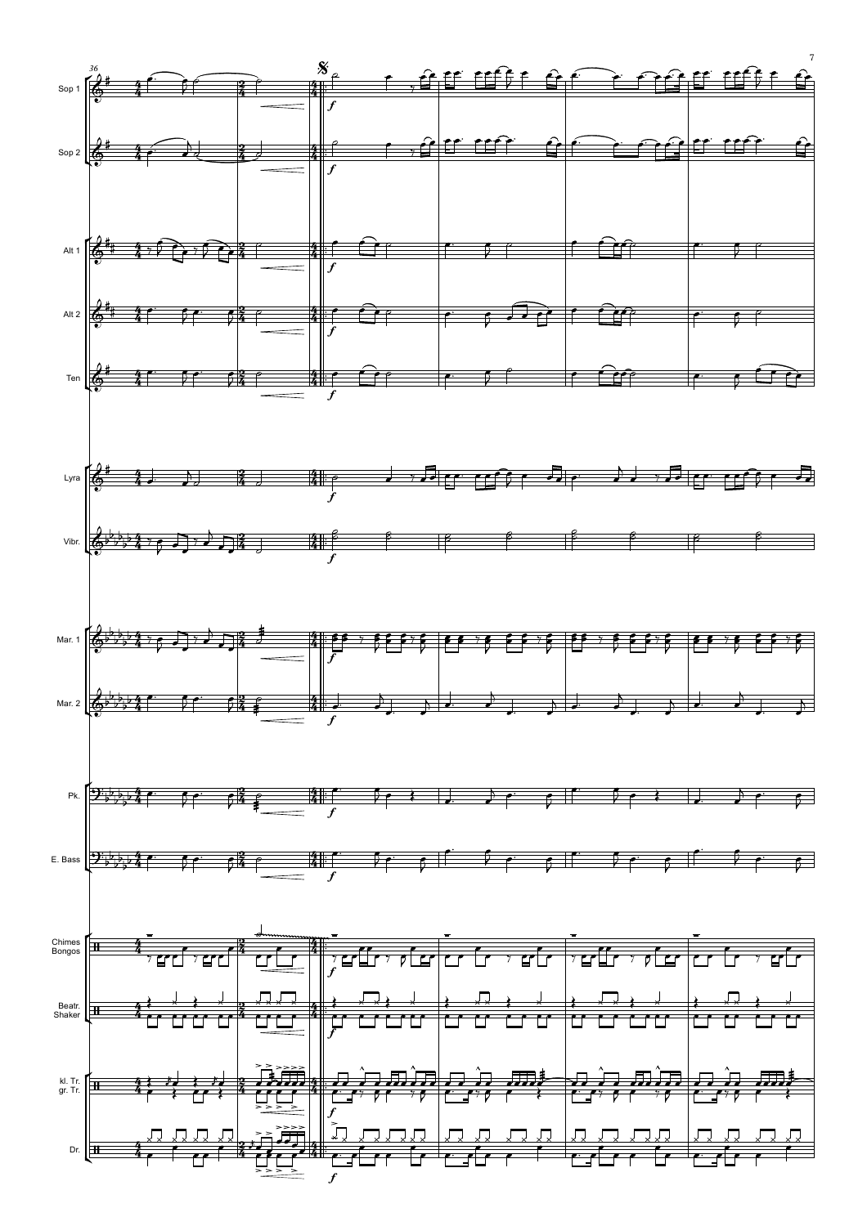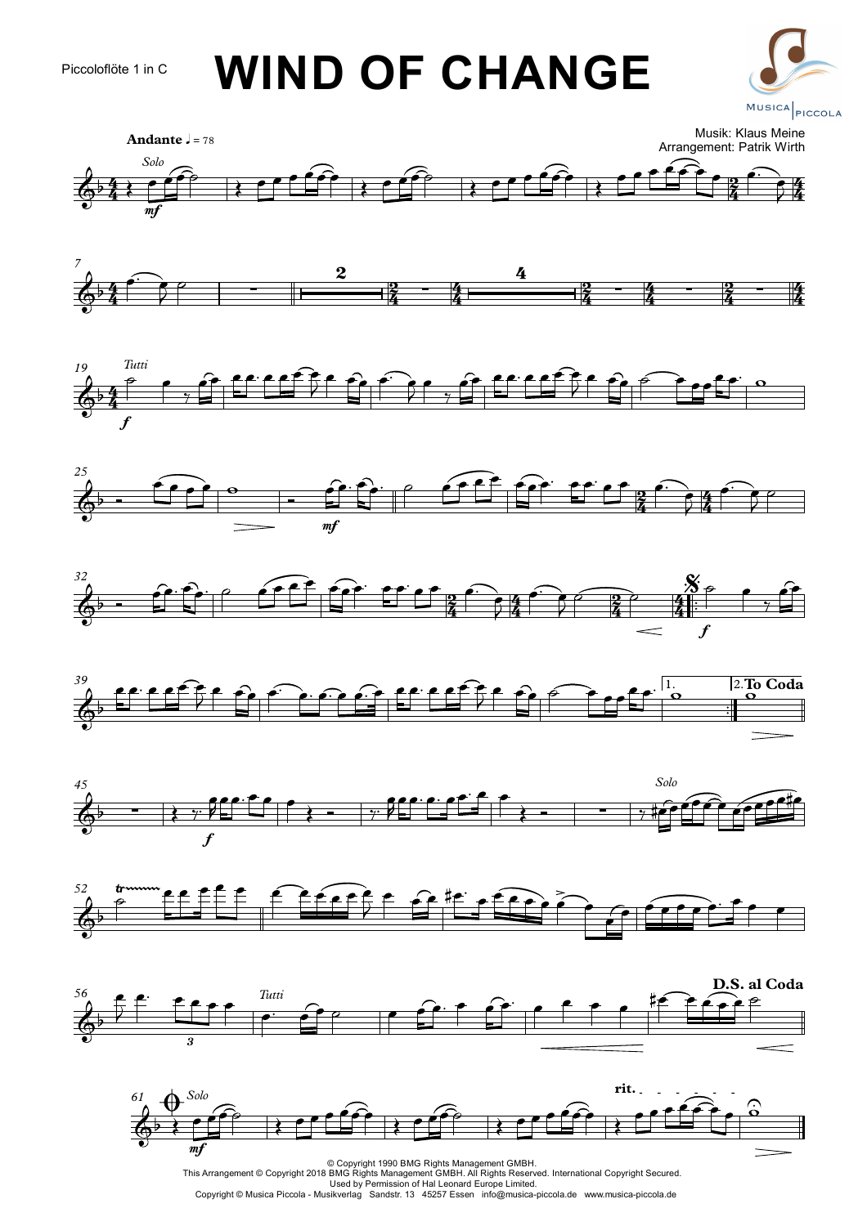Piccoloflöte 1 in C

## **WIND OF CHANGE**























© Copyright 1990 BMG Rights Management GMBH.<br>This Arrangement © Copyright 2018 BMG Rights Management GMBH. All Rights Meserved. International Copyright Secured.<br>Copyright © Musica Piccola - Musikverlag Sandstr. 13 452